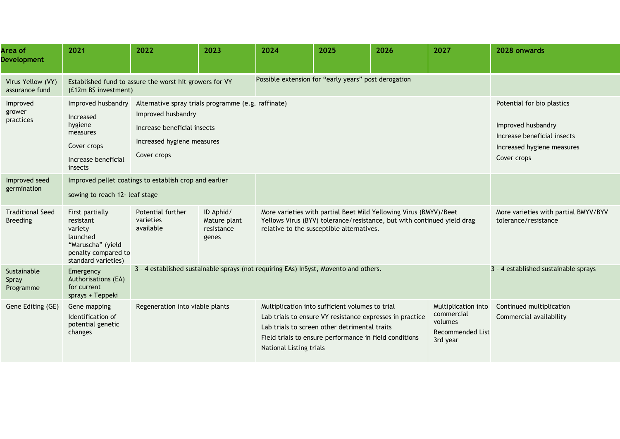| Area of<br><b>Development</b>              | 2021                                                                                                                   | 2022                                                                                                                                                  | 2023                                             | 2024                                                 | 2025                                                                                                                                                                                                                   | 2026                                 | 2027                                                                                | 2028 onwards                                                                                                                 |
|--------------------------------------------|------------------------------------------------------------------------------------------------------------------------|-------------------------------------------------------------------------------------------------------------------------------------------------------|--------------------------------------------------|------------------------------------------------------|------------------------------------------------------------------------------------------------------------------------------------------------------------------------------------------------------------------------|--------------------------------------|-------------------------------------------------------------------------------------|------------------------------------------------------------------------------------------------------------------------------|
| Virus Yellow (VY)<br>assurance fund        | (£12m BS investment)                                                                                                   | Established fund to assure the worst hit growers for VY                                                                                               |                                                  | Possible extension for "early years" post derogation |                                                                                                                                                                                                                        |                                      |                                                                                     |                                                                                                                              |
| Improved<br>grower<br>practices            | Improved husbandry<br>Increased<br>hygiene<br>measures<br>Cover crops<br>Increase beneficial<br>insects                | Alternative spray trials programme (e.g. raffinate)<br>Improved husbandry<br>Increase beneficial insects<br>Increased hygiene measures<br>Cover crops |                                                  |                                                      |                                                                                                                                                                                                                        |                                      |                                                                                     | Potential for bio plastics<br>Improved husbandry<br>Increase beneficial insects<br>Increased hygiene measures<br>Cover crops |
| Improved seed<br>germination               | sowing to reach 12- leaf stage                                                                                         | Improved pellet coatings to establish crop and earlier                                                                                                |                                                  |                                                      |                                                                                                                                                                                                                        |                                      |                                                                                     |                                                                                                                              |
| <b>Traditional Seed</b><br><b>Breeding</b> | First partially<br>resistant<br>variety<br>launched<br>"Maruscha" (yield<br>penalty compared to<br>standard varieties) | Potential further<br>varieties<br>available                                                                                                           | ID Aphid/<br>Mature plant<br>resistance<br>genes |                                                      | More varieties with partial Beet Mild Yellowing Virus (BMYV)/Beet<br>Yellows Virus (BYV) tolerance/resistance, but with continued yield drag<br>relative to the susceptible alternatives.                              |                                      |                                                                                     | More varieties with partial BMYV/BYV<br>tolerance/resistance                                                                 |
| Sustainable<br>Spray<br>Programme          | Emergency<br>Authorisations (EA)<br>for current<br>sprays + Teppeki                                                    | 3 - 4 established sustainable sprays (not requiring EAs) InSyst, Movento and others.                                                                  |                                                  |                                                      |                                                                                                                                                                                                                        | 3 - 4 established sustainable sprays |                                                                                     |                                                                                                                              |
| Gene Editing (GE)                          | Gene mapping<br>Identification of<br>potential genetic<br>changes                                                      | Regeneration into viable plants                                                                                                                       |                                                  | National Listing trials                              | Multiplication into sufficient volumes to trial<br>Lab trials to ensure VY resistance expresses in practice<br>Lab trials to screen other detrimental traits<br>Field trials to ensure performance in field conditions |                                      | Multiplication into<br>commercial<br>volumes<br><b>Recommended List</b><br>3rd year | Continued multiplication<br>Commercial availability                                                                          |